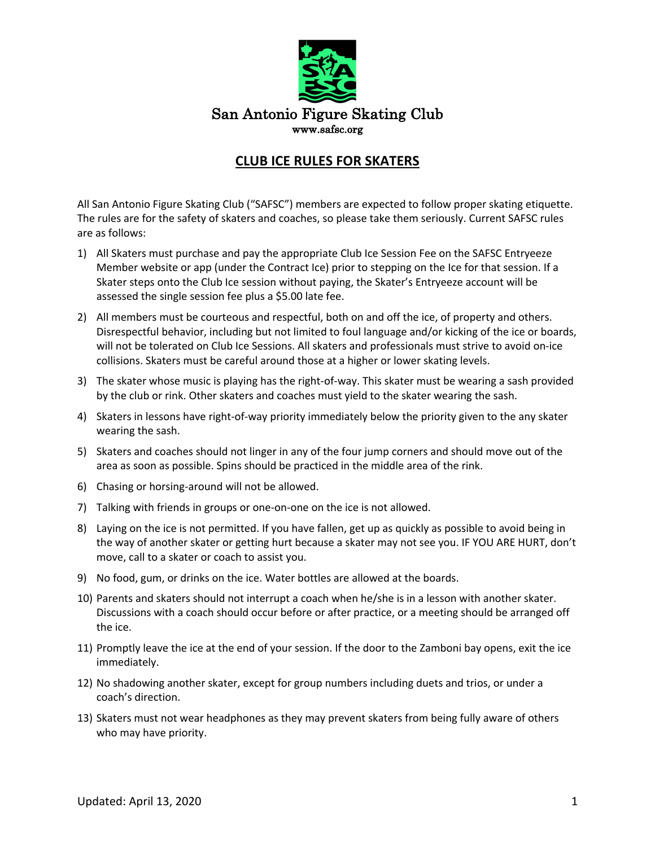

## **CLUB ICE RULES FOR SKATERS**

All San Antonio Figure Skating Club ("SAFSC") members are expected to follow proper skating etiquette. The rules are for the safety of skaters and coaches, so please take them seriously. Current SAFSC rules are as follows:

- 1) All Skaters must purchase and pay the appropriate Club Ice Session Fee on the SAFSC Entryeeze Member website or app (under the Contract Ice) prior to stepping on the Ice for that session. If a Skater steps onto the Club Ice session without paying, the Skater's Entryeeze account will be assessed the single session fee plus a \$5.00 late fee.
- 2) All members must be courteous and respectful, both on and off the ice, of property and others. Disrespectful behavior, including but not limited to foul language and/or kicking of the ice or boards, will not be tolerated on Club Ice Sessions. All skaters and professionals must strive to avoid on-ice collisions. Skaters must be careful around those at a higher or lower skating levels.
- 3) The skater whose music is playing has the right-of-way. This skater must be wearing a sash provided by the club or rink. Other skaters and coaches must yield to the skater wearing the sash.
- 4) Skaters in lessons have right-of-way priority immediately below the priority given to the any skater wearing the sash.
- 5) Skaters and coaches should not linger in any of the four jump corners and should move out of the area as soon as possible. Spins should be practiced in the middle area of the rink.
- 6) Chasing or horsing-around will not be allowed.
- 7) Talking with friends in groups or one-on-one on the ice is not allowed.
- 8) Laying on the ice is not permitted. If you have fallen, get up as quickly as possible to avoid being in the way of another skater or getting hurt because a skater may not see you. IF YOU ARE HURT, don't move, call to a skater or coach to assist you.
- 9) No food, gum, or drinks on the ice. Water bottles are allowed at the boards.
- 10) Parents and skaters should not interrupt a coach when he/she is in a lesson with another skater. Discussions with a coach should occur before or after practice, or a meeting should be arranged off the ice.
- 11) Promptly leave the ice at the end of your session. If the door to the Zamboni bay opens, exit the ice immediately.
- 12) No shadowing another skater, except for group numbers including duets and trios, or under a coach's direction.
- 13) Skaters must not wear headphones as they may prevent skaters from being fully aware of others who may have priority.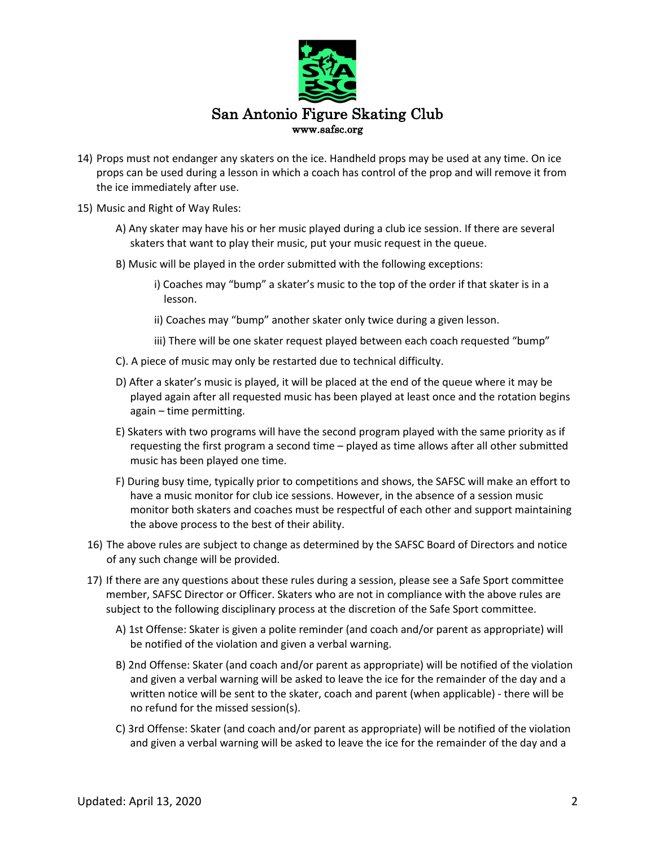

- 14) Props must not endanger any skaters on the ice. Handheld props may be used at any time. On ice props can be used during a lesson in which a coach has control of the prop and will remove it from the ice immediately after use.
- 15) Music and Right of Way Rules:
	- A) Any skater may have his or her music played during a club ice session. If there are several skaters that want to play their music, put your music request in the queue.
	- B) Music will be played in the order submitted with the following exceptions:
		- i) Coaches may "bump" a skater's music to the top of the order if that skater is in a lesson.
		- ii) Coaches may "bump" another skater only twice during a given lesson.
		- iii) There will be one skater request played between each coach requested "bump"
	- C). A piece of music may only be restarted due to technical difficulty.
	- D) After a skater's music is played, it will be placed at the end of the queue where it may be played again after all requested music has been played at least once and the rotation begins again – time permitting.
	- E) Skaters with two programs will have the second program played with the same priority as if requesting the first program a second time – played as time allows after all other submitted music has been played one time.
	- F) During busy time, typically prior to competitions and shows, the SAFSC will make an effort to have a music monitor for club ice sessions. However, in the absence of a session music monitor both skaters and coaches must be respectful of each other and support maintaining the above process to the best of their ability.
	- 16) The above rules are subject to change as determined by the SAFSC Board of Directors and notice of any such change will be provided.
	- 17) If there are any questions about these rules during a session, please see a Safe Sport committee member, SAFSC Director or Officer. Skaters who are not in compliance with the above rules are subject to the following disciplinary process at the discretion of the Safe Sport committee.
		- A) 1st Offense: Skater is given a polite reminder (and coach and/or parent as appropriate) will be notified of the violation and given a verbal warning.
		- B) 2nd Offense: Skater (and coach and/or parent as appropriate) will be notified of the violation and given a verbal warning will be asked to leave the ice for the remainder of the day and a written notice will be sent to the skater, coach and parent (when applicable) - there will be no refund for the missed session(s).
		- C) 3rd Offense: Skater (and coach and/or parent as appropriate) will be notified of the violation and given a verbal warning will be asked to leave the ice for the remainder of the day and a